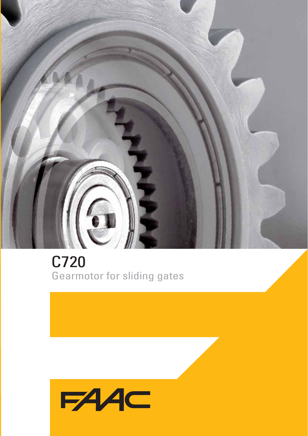

C720 Gearmotor for sliding gates

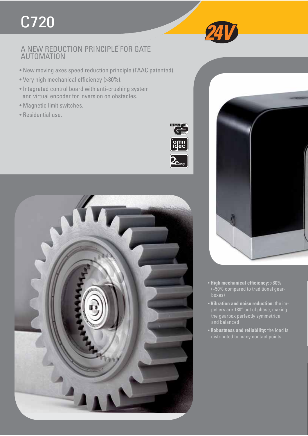# C720

## A NEW REDUCTION PRINCIPLE FOR GATE AUTOMATION

- New moving axes speed reduction principle (FAAC patented).
- Very high mechanical efficiency (>80%).
- Integrated control board with anti-crushing system and virtual encoder for inversion on obstacles.
- Magnetic limit switches.
- Residential use.







- High mechanical efficiency: >80% (+50% compared to traditional gearboxes)
- **Vibration and noise reduction:** the impellers are 180° out of phase, making the gearbox perfectly symmetrical and balanced
- **Robustness and reliability:** the load is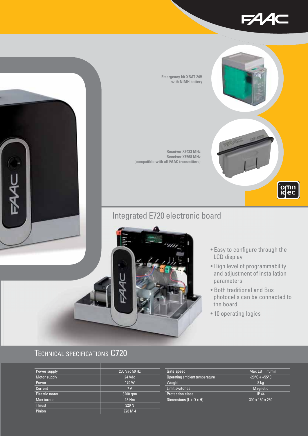



### **Emergency kit XBAT 24V with NiMH battery**

**Receiver XF433 MHz Receiver XF868 MHz (compatible with all FAAC transmitters)**

## Integrated E720 electronic board



- Easy to configure through the LCD display
- High level of programmability and adjustment of installation parameters
- Both traditional and Bus photocells can be connected to the board
- 10 operating logics

## TECHNICAL SPECIFICATIONS C720

| Power supply   | 230 Vac 50 Hz |
|----------------|---------------|
| Motor supply   | 24 Vdc        |
| Power          | 170W          |
| Current        | 7 A           |
| Electric motor | 3200 rpm      |
| Max torque     | <b>18 Nm</b>  |
| <b>Thrust</b>  | 320 N         |
| Pinion         | Z28 M 4       |

| Gate speed                    | Max 18<br>m/min                         |
|-------------------------------|-----------------------------------------|
| Operating ambient temperature | $-20^{\circ}$ C $\div$ +55°C $^{\circ}$ |
| Weight                        | 8 ka                                    |
| Limit switches                | <b>Magnetic</b>                         |
| <b>Protection class</b>       | <b>IP 44</b>                            |
| Dimensions (L x D x H)        | 300 x 180 x 280                         |